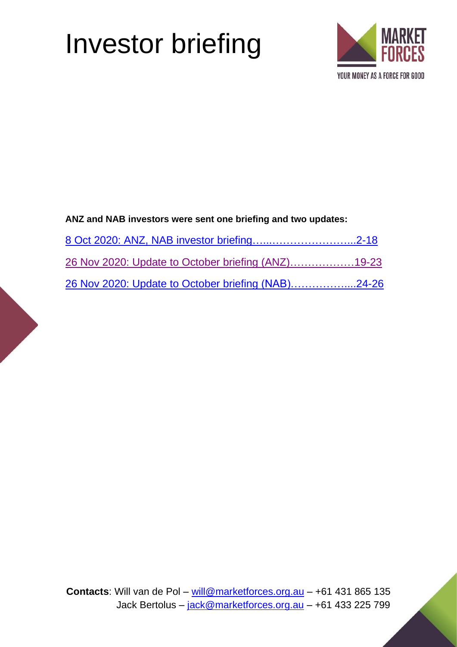# Investor briefing



#### **ANZ and NAB investors were sent one briefing and two updates:**

| 26 Nov 2020: Update to October briefing (ANZ)19-23 |  |
|----------------------------------------------------|--|
| 26 Nov 2020: Update to October briefing (NAB)24-26 |  |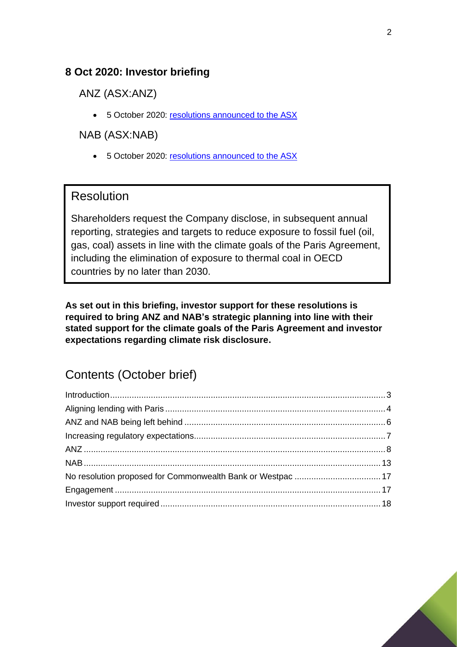#### <span id="page-1-0"></span>**8 Oct 2020: Investor briefing**

ANZ (ASX:ANZ)

• 5 October 2020: [resolutions announced to the ASX](https://www.asx.com.au/asxpdf/20201005/pdf/44nc94s81hr1c5.pdf)

#### NAB (ASX:NAB)

• 5 October 2020: [resolutions announced to the ASX](https://www.asx.com.au/asxpdf/20201005/pdf/44nbyh9pph3xg0.pdf)

#### Resolution

Shareholders request the Company disclose, in subsequent annual reporting, strategies and targets to reduce exposure to fossil fuel (oil, gas, coal) assets in line with the climate goals of the Paris Agreement, including the elimination of exposure to thermal coal in OECD countries by no later than 2030.

**As set out in this briefing, investor support for these resolutions is required to bring ANZ and NAB's strategic planning into line with their stated support for the climate goals of the Paris Agreement and investor expectations regarding climate risk disclosure.**

# Contents (October brief)

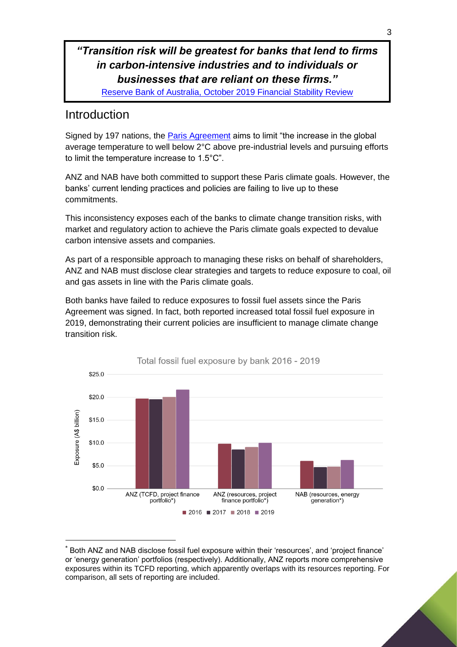#### *"Transition risk will be greatest for banks that lend to firms in carbon-intensive industries and to individuals or businesses that are reliant on these firms."*

[Reserve Bank of Australia, October 2019](https://www.rba.gov.au/publications/fsr/2019/oct/box-c-financial-stability-risks-from-climate-change.html) Financial Stability Review

## <span id="page-2-0"></span>Introduction

Signed by 197 nations, the [Paris Agreement](https://unfccc.int/sites/default/files/english_paris_agreement.pdf) aims to limit "the increase in the global average temperature to well below 2°C above pre-industrial levels and pursuing efforts to limit the temperature increase to 1.5°C".

ANZ and NAB have both committed to support these Paris climate goals. However, the banks' current lending practices and policies are failing to live up to these commitments.

This inconsistency exposes each of the banks to climate change transition risks, with market and regulatory action to achieve the Paris climate goals expected to devalue carbon intensive assets and companies.

As part of a responsible approach to managing these risks on behalf of shareholders, ANZ and NAB must disclose clear strategies and targets to reduce exposure to coal, oil and gas assets in line with the Paris climate goals.

Both banks have failed to reduce exposures to fossil fuel assets since the Paris Agreement was signed. In fact, both reported increased total fossil fuel exposure in 2019, demonstrating their current policies are insufficient to manage climate change transition risk.



Both ANZ and NAB disclose fossil fuel exposure within their 'resources', and 'project finance' or 'energy generation' portfolios (respectively). Additionally, ANZ reports more comprehensive exposures within its TCFD reporting, which apparently overlaps with its resources reporting. For comparison, all sets of reporting are included.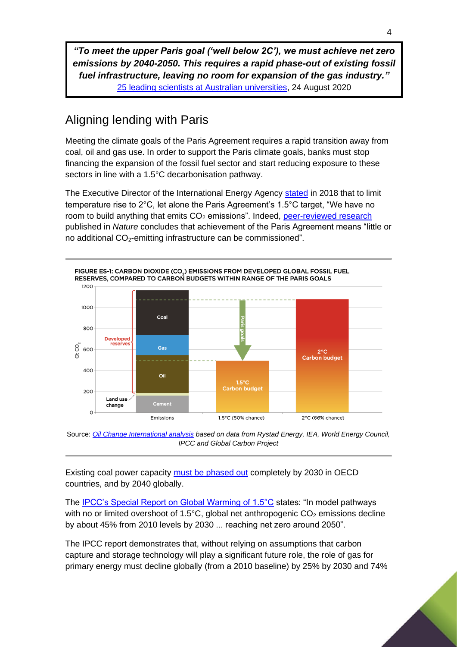*"To meet the upper Paris goal ('well below 2C'), we must achieve net zero emissions by 2040-2050. This requires a rapid phase-out of existing fossil fuel infrastructure, leaving no room for expansion of the gas industry."* [25 leading scientists at Australian universities,](https://www.smh.com.au/environment/climate-change/australia-s-chief-scientist-is-wrong-on-gas-say-leading-experts-20200824-p55oty.html) 24 August 2020

# <span id="page-3-0"></span>Aligning lending with Paris

Meeting the climate goals of the Paris Agreement requires a rapid transition away from coal, oil and gas use. In order to support the Paris climate goals, banks must stop financing the expansion of the fossil fuel sector and start reducing exposure to these sectors in line with a 1.5°C decarbonisation pathway.

The Executive Director of the International Energy Agency [stated](https://www.theguardian.com/business/2018/nov/13/world-has-no-capacity-to-absorb-new-fossil-fuel-plants-warns-iea) in 2018 that to limit temperature rise to 2°C, let alone the Paris Agreement's 1.5°C target, "We have no room to build anything that emits  $CO<sub>2</sub>$  emissions". Indeed, [peer-reviewed research](https://www.nature.com/articles/s41586-019-1364-3) published in *Nature* concludes that achievement of the Paris Agreement means "little or no additional  $CO<sub>2</sub>$ -emitting infrastructure can be commissioned".



Source: *[Oil Change International analysis](http://priceofoil.org/content/uploads/2020/09/OCI-Big-Oil-Reality-Check-vF.pdf) based on data from Rystad Energy, IEA, World Energy Council, IPCC and Global Carbon Project*

Existing coal power capacity [must be phased out](https://climateanalytics.org/publications/2019/coal-phase-out-insights-from-the-ipcc-special-report-on-15c-and-global-trends-since-2015/) completely by 2030 in OECD countries, and by 2040 globally.

The [IPCC's Special Report on Global Warming of 1.5°C](https://www.ipcc.ch/site/assets/uploads/sites/2/2019/05/SR15_Chapter2_Low_Res.pdf) states: "In model pathways with no or limited overshoot of 1.5 $^{\circ}$ C, global net anthropogenic CO<sub>2</sub> emissions decline by about 45% from 2010 levels by 2030 ... reaching net zero around 2050".

The IPCC report demonstrates that, without relying on assumptions that carbon capture and storage technology will play a significant future role, the role of gas for primary energy must decline globally (from a 2010 baseline) by 25% by 2030 and 74%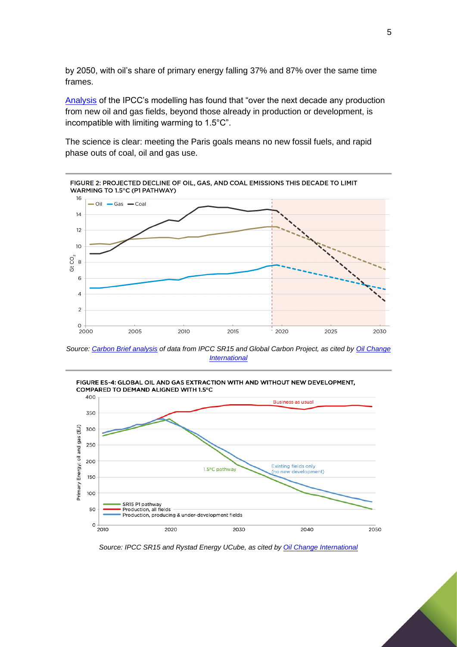by 2050, with oil's share of primary energy falling 37% and 87% over the same time frames.

[Analysis](https://www.globalwitness.org/en/campaigns/oil-gas-and-mining/overexposed/) of the IPCC's modelling has found that "over the next decade any production from new oil and gas fields, beyond those already in production or development, is incompatible with limiting warming to 1.5°C".

The science is clear: meeting the Paris goals means no new fossil fuels, and rapid phase outs of coal, oil and gas use.



*Source: [Carbon Brief analysis](https://www.carbonbrief.org/analysis-why-coal-use-must-plummet-this-decade-to-keep-global-warming-below-1-5c) of data from IPCC SR15 and Global Carbon Project, as cited by [Oil Change](http://priceofoil.org/content/uploads/2020/09/OCI-Big-Oil-Reality-Check-vF.pdf)  [International](http://priceofoil.org/content/uploads/2020/09/OCI-Big-Oil-Reality-Check-vF.pdf)*



*Source: IPCC SR15 and Rystad Energy UCube, as cited by [Oil Change International](http://priceofoil.org/content/uploads/2020/09/OCI-Big-Oil-Reality-Check-vF.pdf)*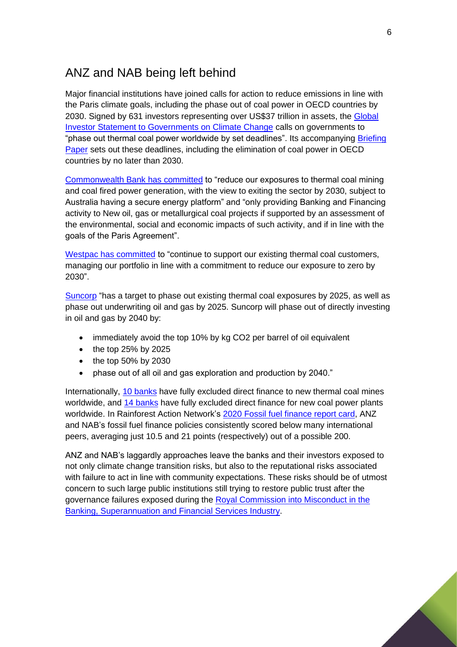## <span id="page-5-0"></span>ANZ and NAB being left behind

Major financial institutions have joined calls for action to reduce emissions in line with the Paris climate goals, including the phase out of coal power in OECD countries by 2030. Signed by 631 investors representing over US\$37 trillion in assets, the [Global](https://theinvestoragenda.org/focus-areas/policy-advocacy/)  [Investor Statement to Governments on Climate Change](https://theinvestoragenda.org/focus-areas/policy-advocacy/) calls on governments to "phase out thermal coal power worldwide by set deadlines". Its accompanying Briefing [Paper](https://theinvestoragenda.org/wp-content/uploads/2019/06/GISGCC-briefing-paper-FINAL.pdf) sets out these deadlines, including the elimination of coal power in OECD countries by no later than 2030.

[Commonwealth Bank has committed](https://www.commbank.com.au/content/dam/commbank/about-us/download-printed-forms/environment-and-social-framework.pdf) to "reduce our exposures to thermal coal mining and coal fired power generation, with the view to exiting the sector by 2030, subject to Australia having a secure energy platform" and "only providing Banking and Financing activity to New oil, gas or metallurgical coal projects if supported by an assessment of the environmental, social and economic impacts of such activity, and if in line with the goals of the Paris Agreement".

[Westpac has committed](https://www.westpac.com.au/content/dam/public/wbc/documents/pdf/aw/sustainability/WBC-climate-change-position-statement-2023.pdf) to "continue to support our existing thermal coal customers, managing our portfolio in line with a commitment to reduce our exposure to zero by 2030".

[Suncorp](https://www.suncorpgroup.com.au/corporate-responsibility/sustainable-growth/responsible-banking-insurance-investing) "has a target to phase out existing thermal coal exposures by 2025, as well as phase out underwriting oil and gas by 2025. Suncorp will phase out of directly investing in oil and gas by 2040 by:

- immediately avoid the top 10% by kg CO2 per barrel of oil equivalent
- $\bullet$  the top 25% by 2025
- $\bullet$  the top 50% by 2030
- phase out of all oil and gas exploration and production by 2040."

Internationally, 10 [banks](https://www.banktrack.org/campaign/banks_and_coal) have fully excluded direct finance to new thermal coal mines worldwide, and 14 [banks](https://www.banktrack.org/campaign/banks_and_coal_power) have fully excluded direct finance for new coal power plants worldwide. In Rainforest Action Network's 2020 [Fossil fuel finance report card,](https://www.ran.org/wp-content/uploads/2020/03/Banking_on_Climate_Change__2020_vF.pdf) ANZ and NAB's fossil fuel finance policies consistently scored below many international peers, averaging just 10.5 and 21 points (respectively) out of a possible 200.

ANZ and NAB's laggardly approaches leave the banks and their investors exposed to not only climate change transition risks, but also to the reputational risks associated with failure to act in line with community expectations. These risks should be of utmost concern to such large public institutions still trying to restore public trust after the governance failures exposed during the [Royal Commission into Misconduct in the](https://financialservices.royalcommission.gov.au/Pages/default.html)  [Banking, Superannuation and Financial Services Industry.](https://financialservices.royalcommission.gov.au/Pages/default.html)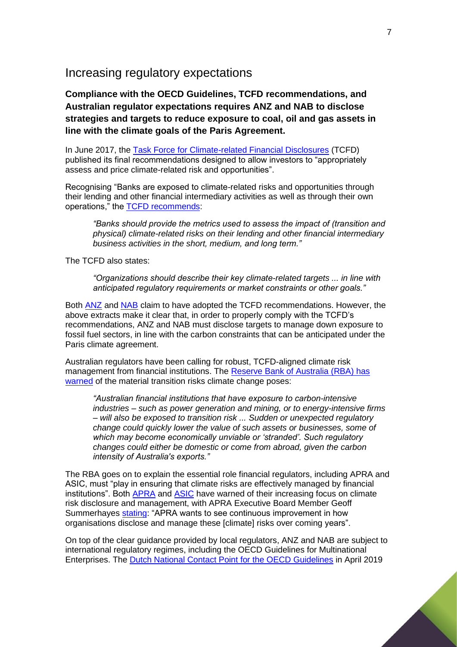#### <span id="page-6-0"></span>Increasing regulatory expectations

**Compliance with the OECD Guidelines, TCFD recommendations, and Australian regulator expectations requires ANZ and NAB to disclose strategies and targets to reduce exposure to coal, oil and gas assets in line with the climate goals of the Paris Agreement.**

In June 2017, the [Task Force for Climate-related Financial Disclosures](https://www.fsb-tcfd.org/wp-content/uploads/2017/06/FINAL-TCFD-Report-062817.pdf) (TCFD) published its final recommendations designed to allow investors to "appropriately assess and price climate-related risk and opportunities".

Recognising "Banks are exposed to climate-related risks and opportunities through their lending and other financial intermediary activities as well as through their own operations," the **TCFD** recommends:

*"Banks should provide the metrics used to assess the impact of (transition and physical) climate-related risks on their lending and other financial intermediary business activities in the short, medium, and long term."*

The TCFD also states:

*"Organizations should describe their key climate-related targets ... in line with anticipated regulatory requirements or market constraints or other goals."*

Both [ANZ](https://www.anz.com.au/content/dam/anzcom/shareholder/ANZ-2019-Climate-related-Financial-Disclosures.pdf) and [NAB](https://www.nab.com.au/content/dam/nabrwd/documents/reports/corporate/2019-sustainability-report-pdf.pdf) claim to have adopted the TCFD recommendations. However, the above extracts make it clear that, in order to properly comply with the TCFD's recommendations, ANZ and NAB must disclose targets to manage down exposure to fossil fuel sectors, in line with the carbon constraints that can be anticipated under the Paris climate agreement.

Australian regulators have been calling for robust, TCFD-aligned climate risk management from financial institutions. The Reserve Bank of Australia (RBA) has [warned](https://www.rba.gov.au/publications/fsr/2019/oct/box-c-financial-stability-risks-from-climate-change.html) of the material transition risks climate change poses:

*"Australian financial institutions that have exposure to carbon-intensive industries – such as power generation and mining, or to energy-intensive firms – will also be exposed to transition risk ... Sudden or unexpected regulatory change could quickly lower the value of such assets or businesses, some of which may become economically unviable or 'stranded'. Such regulatory changes could either be domestic or come from abroad, given the carbon intensity of Australia's exports."*

The RBA goes on to explain the essential role financial regulators, including APRA and ASIC, must "play in ensuring that climate risks are effectively managed by financial institutions". Both [APRA](https://www.apra.gov.au/media-centre/speeches/australias-new-horizon-climate-change-challenges-and-prudential-risk) and [ASIC](https://download.asic.gov.au/media/4871341/rep593-published-20-september-2018.pdf) have warned of their increasing focus on climate risk disclosure and management, with APRA Executive Board Member Geoff Summerhayes [stating:](https://www.apra.gov.au/media-centre/media-releases/apra-step-scrutiny-climate-risks-after-releasing-survey-results) "APRA wants to see continuous improvement in how organisations disclose and manage these [climate] risks over coming years".

On top of the clear guidance provided by local regulators, ANZ and NAB are subject to international regulatory regimes, including the OECD Guidelines for Multinational Enterprises. The [Dutch National Contact Point for the OECD Guidelines](https://www.oecdguidelines.nl/documents/publication/2019/04/19/ncp-final-statement-4-ngos-vs-ing) in April 2019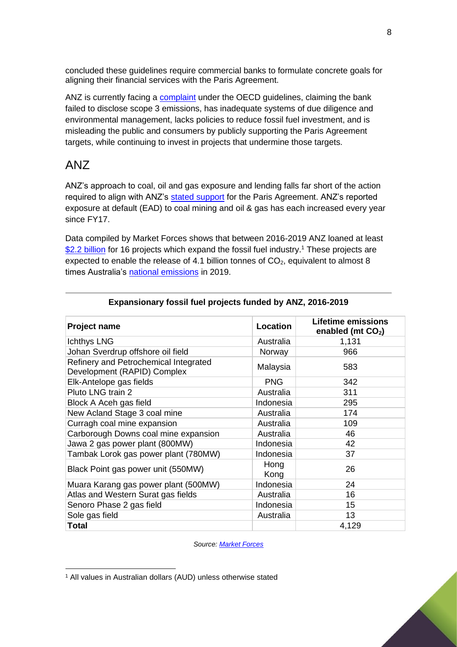concluded these guidelines require commercial banks to formulate concrete goals for aligning their financial services with the Paris Agreement.

ANZ is currently facing a [complaint](https://www.foe.org.au/bushfire_survivors_launch_claim_against_anz) under the OECD guidelines, claiming the bank failed to disclose scope 3 emissions, has inadequate systems of due diligence and environmental management, lacks policies to reduce fossil fuel investment, and is misleading the public and consumers by publicly supporting the Paris Agreement targets, while continuing to invest in projects that undermine those targets.

## <span id="page-7-0"></span>ANZ

ANZ's approach to coal, oil and gas exposure and lending falls far short of the action required to align with ANZ's [stated support](https://www.anz.com.au/content/dam/anzcomau/documents/pdf/aboutus/climate-change-statement.pdf) for the Paris Agreement. ANZ's reported exposure at default (EAD) to coal mining and oil & gas has each increased every year since FY17.

Data compiled by Market Forces shows that between 2016-2019 ANZ loaned at least \$2.2 [billion](https://www.marketforces.org.au/campaigns/banks-new/bigfourscorecard/) for 16 projects which expand the fossil fuel industry.<sup>1</sup> These projects are expected to enable the release of 4.1 billion tonnes of  $CO<sub>2</sub>$ , equivalent to almost 8 times Australia's [national emissions](https://www.industry.gov.au/sites/default/files/2020-05/nggi-quarterly-update-dec-2019.pdf) in 2019.

| <b>Project name</b>                                                  | Location     | <b>Lifetime emissions</b><br>enabled (mt $CO2$ ) |
|----------------------------------------------------------------------|--------------|--------------------------------------------------|
| Ichthys LNG                                                          | Australia    | 1,131                                            |
| Johan Sverdrup offshore oil field                                    | Norway       | 966                                              |
| Refinery and Petrochemical Integrated<br>Development (RAPID) Complex | Malaysia     | 583                                              |
| Elk-Antelope gas fields                                              | <b>PNG</b>   | 342                                              |
| Pluto LNG train 2                                                    | Australia    | 311                                              |
| Block A Aceh gas field                                               | Indonesia    | 295                                              |
| New Acland Stage 3 coal mine                                         | Australia    | 174                                              |
| Curragh coal mine expansion                                          | Australia    | 109                                              |
| Carborough Downs coal mine expansion                                 | Australia    | 46                                               |
| Jawa 2 gas power plant (800MW)                                       | Indonesia    | 42                                               |
| Tambak Lorok gas power plant (780MW)                                 | Indonesia    | 37                                               |
| Black Point gas power unit (550MW)                                   | Hong<br>Kong | 26                                               |
| Muara Karang gas power plant (500MW)                                 | Indonesia    | 24                                               |
| Atlas and Western Surat gas fields                                   | Australia    | 16                                               |
| Senoro Phase 2 gas field                                             | Indonesia    | 15                                               |
| Sole gas field                                                       | Australia    | 13                                               |
| <b>Total</b>                                                         |              | 4,129                                            |

#### **Expansionary fossil fuel projects funded by ANZ, 2016-2019**

*Source[: Market Forces](https://www.marketforces.org.au/bigfourscorecard)*

<sup>1</sup> All values in Australian dollars (AUD) unless otherwise stated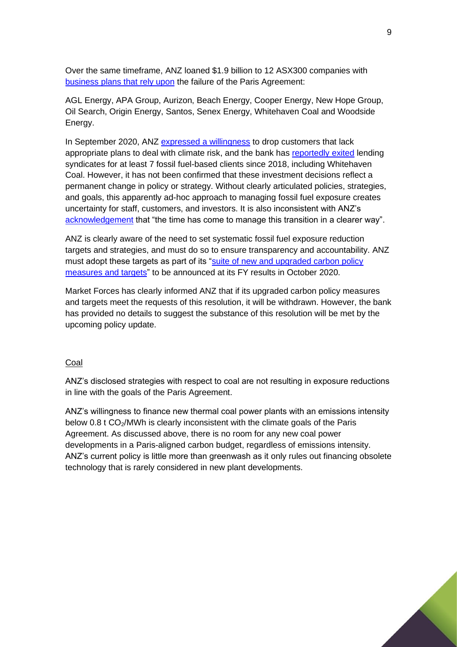Over the same timeframe, ANZ loaned \$1.9 billion to 12 ASX300 companies with [business plans that rely upon](https://www.marketforces.org.au/campaigns/super/outofline/) the failure of the Paris Agreement:

AGL Energy, APA Group, Aurizon, Beach Energy, Cooper Energy, New Hope Group, Oil Search, Origin Energy, Santos, Senex Energy, Whitehaven Coal and Woodside Energy.

In September 2020, ANZ [expressed a willingness](https://www.afr.com/companies/financial-services/anz-will-ditch-customers-without-a-climate-plan-20200907-p55t5q) to drop customers that lack appropriate plans to deal with climate risk, and the bank has [reportedly exited](https://www.theaustralian.com.au/business/financial-services/anz-starts-to-make-good-on-its-promised-transition-to-a-lowcarbon-economy/news-story/5938840063ba9eb8d981b818b2c303c1) lending syndicates for at least 7 fossil fuel-based clients since 2018, including Whitehaven Coal. However, it has not been confirmed that these investment decisions reflect a permanent change in policy or strategy. Without clearly articulated policies, strategies, and goals, this apparently ad-hoc approach to managing fossil fuel exposure creates uncertainty for staff, customers, and investors. It is also inconsistent with ANZ's [acknowledgement](https://www.abc.net.au/news/2019-12-06/anz-to-slash-lending-to-coal-projects-leaked-document-reveals/11764898) that "the time has come to manage this transition in a clearer way".

ANZ is clearly aware of the need to set systematic fossil fuel exposure reduction targets and strategies, and must do so to ensure transparency and accountability. ANZ must adopt these targets as part of its "suite of new and upgraded carbon policy [measures and targets"](https://www.anz.com/content/dam/anzcom/shareholder/ESG-Investor-Presentation-7Sep2020.pdf) to be announced at its FY results in October 2020.

Market Forces has clearly informed ANZ that if its upgraded carbon policy measures and targets meet the requests of this resolution, it will be withdrawn. However, the bank has provided no details to suggest the substance of this resolution will be met by the upcoming policy update.

#### Coal

ANZ's disclosed strategies with respect to coal are not resulting in exposure reductions in line with the goals of the Paris Agreement.

ANZ's willingness to finance new thermal coal power plants with an emissions intensity below 0.8 t CO2/MWh is clearly inconsistent with the climate goals of the Paris Agreement. As discussed above, there is no room for any new coal power developments in a Paris-aligned carbon budget, regardless of emissions intensity. ANZ's current policy is little more than greenwash as it only rules out financing obsolete technology that is rarely considered in new plant developments.

9

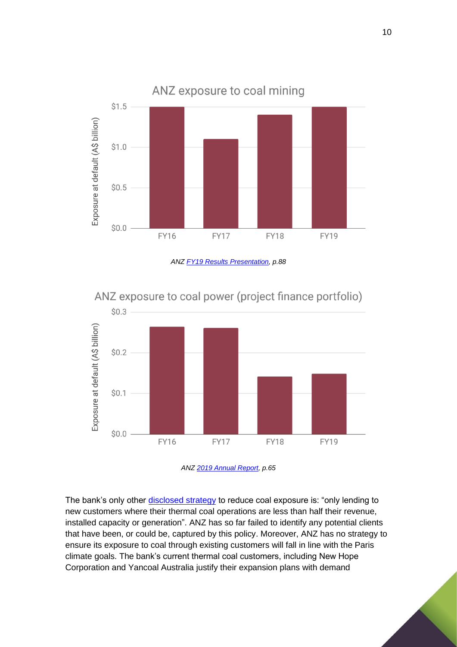

*ANZ [FY19 Results Presentation,](https://yourir.info/resources/4d216b570d08af30/announcements/anz.asx/3A527885/ANZ_ANZ_2019_Full_Year_Results_Investor_Discussion_Pack.pdf) p.88*



ANZ exposure to coal power (project finance portfolio)



The bank's only other [disclosed strategy](https://www.asx.com.au/asxpdf/20191111/pdf/44bgfyb7tcgmyz.pdf) to reduce coal exposure is: "only lending to new customers where their thermal coal operations are less than half their revenue, installed capacity or generation". ANZ has so far failed to identify any potential clients that have been, or could be, captured by this policy. Moreover, ANZ has no strategy to ensure its exposure to coal through existing customers will fall in line with the Paris climate goals. The bank's current thermal coal customers, including New Hope Corporation and Yancoal Australia justify their expansion plans with demand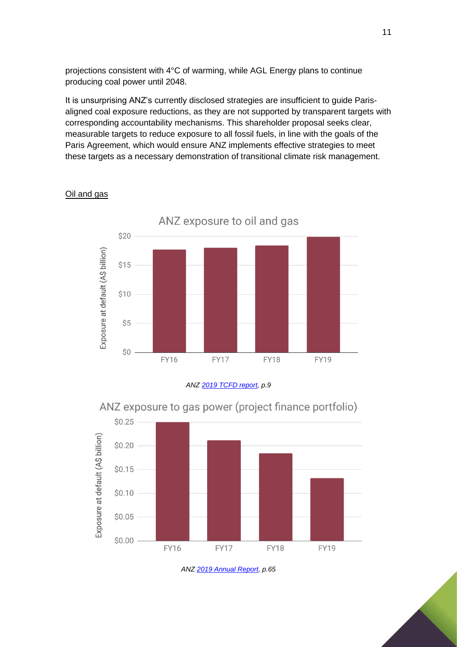projections consistent with 4°C of warming, while AGL Energy plans to continue producing coal power until 2048.

It is unsurprising ANZ's currently disclosed strategies are insufficient to guide Parisaligned coal exposure reductions, as they are not supported by transparent targets with corresponding accountability mechanisms. This shareholder proposal seeks clear, measurable targets to reduce exposure to all fossil fuels, in line with the goals of the Paris Agreement, which would ensure ANZ implements effective strategies to meet these targets as a necessary demonstration of transitional climate risk management.



#### Oil and gas





ANZ exposure to gas power (project finance portfolio)

*AN[Z 2019 Annual Report,](https://yourir.info/resources/4d216b570d08af30/announcements/anz.asx/3A528296/ANZ_ANZ_2019_Annual_Report.pdf) p.65*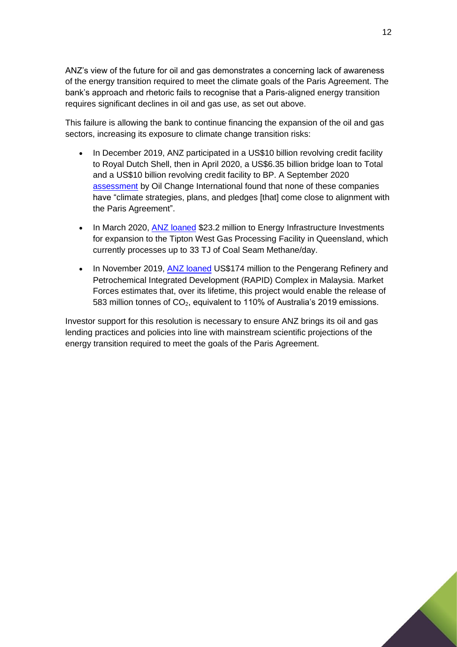ANZ's view of the future for oil and gas demonstrates a concerning lack of awareness of the energy transition required to meet the climate goals of the Paris Agreement. The bank's approach and rhetoric fails to recognise that a Paris-aligned energy transition requires significant declines in oil and gas use, as set out above.

This failure is allowing the bank to continue financing the expansion of the oil and gas sectors, increasing its exposure to climate change transition risks:

- In December 2019, ANZ participated in a US\$10 billion revolving credit facility to Royal Dutch Shell, then in April 2020, a US\$6.35 billion bridge loan to Total and a US\$10 billion revolving credit facility to BP. A September 2020 [assessment](http://priceofoil.org/content/uploads/2020/09/OCI-Big-Oil-Reality-Check-vF.pdf) by Oil Change International found that none of these companies have "climate strategies, plans, and pledges [that] come close to alignment with the Paris Agreement".
- In March 2020, [ANZ loaned](https://ijglobal.com/data/transaction/51565/tipton-west-gas-processing-facility-expansion) \$23.2 million to Energy Infrastructure Investments for expansion to the Tipton West Gas Processing Facility in Queensland, which currently processes up to 33 TJ of Coal Seam Methane/day.
- In November 2019, [ANZ loaned](https://ijglobal.com/data/transaction/46079/pengerang-refinery-and-petrochemical-integrated-development-rapid-complex) US\$174 million to the Pengerang Refinery and Petrochemical Integrated Development (RAPID) Complex in Malaysia. Market Forces estimates that, over its lifetime, this project would enable the release of 583 million tonnes of CO<sub>2</sub>, equivalent to 110% of Australia's 2019 emissions.

Investor support for this resolution is necessary to ensure ANZ brings its oil and gas lending practices and policies into line with mainstream scientific projections of the energy transition required to meet the goals of the Paris Agreement.

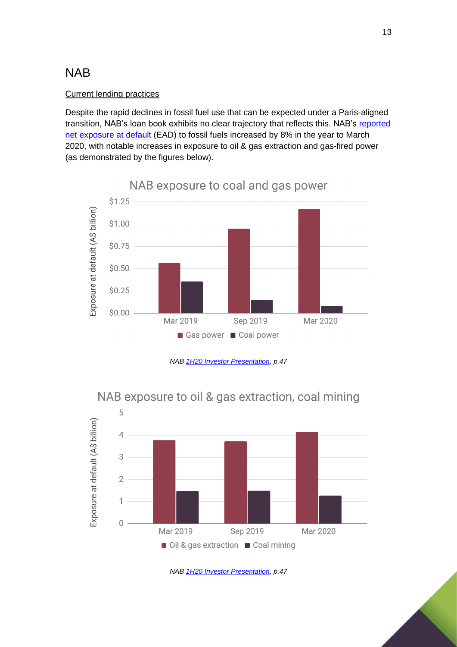## <span id="page-12-0"></span>NAB

#### Current lending practices

Despite the rapid declines in fossil fuel use that can be expected under a Paris-aligned transition, NAB's loan book exhibits no clear trajectory that reflects this. NAB's [reported](https://www.nab.com.au/content/dam/nabrwd/documents/reports/corporate/1h20-investor-presentation.pdf)  [net exposure at default](https://www.nab.com.au/content/dam/nabrwd/documents/reports/corporate/1h20-investor-presentation.pdf) (EAD) to fossil fuels increased by 8% in the year to March 2020, with notable increases in exposure to oil & gas extraction and gas-fired power (as demonstrated by the figures below).







*NAB [1H20 Investor Presentation,](https://www.nab.com.au/content/dam/nabrwd/documents/reports/corporate/1h20-investor-presentation.pdf) p.47*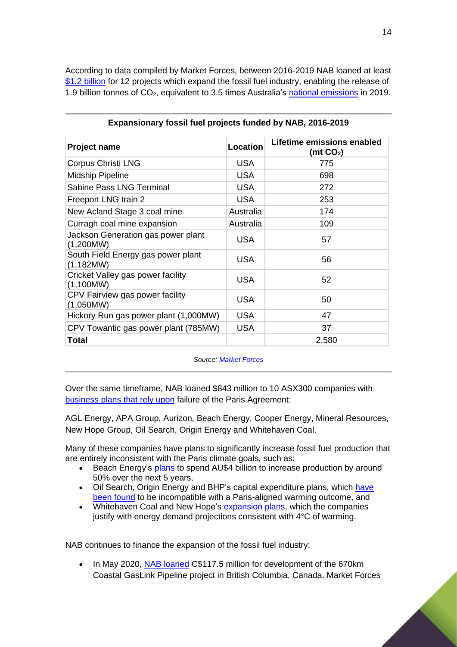According to data compiled by Market Forces, between 2016-2019 NAB loaned at least [\\$1.2 billion](https://www.marketforces.org.au/campaigns/banks-new/bigfourscorecard/) for 12 projects which expand the fossil fuel industry, enabling the release of 1.9 billion tonnes of CO<sub>2</sub>, equivalent to 3.5 times Australia's [national emissions](https://www.industry.gov.au/sites/default/files/2020-05/nggi-quarterly-update-dec-2019.pdf) in 2019.

| <b>Project name</b>                             | <b>Location</b> | Lifetime emissions enabled<br>(mt $CO2$ ) |
|-------------------------------------------------|-----------------|-------------------------------------------|
| Corpus Christi LNG                              | <b>USA</b>      | 775                                       |
| <b>Midship Pipeline</b>                         | <b>USA</b>      | 698                                       |
| Sabine Pass LNG Terminal                        | <b>USA</b>      | 272                                       |
| Freeport LNG train 2                            | <b>USA</b>      | 253                                       |
| New Acland Stage 3 coal mine                    | Australia       | 174                                       |
| Curragh coal mine expansion                     | Australia       | 109                                       |
| Jackson Generation gas power plant<br>(1,200MW) | <b>USA</b>      | 57                                        |
| South Field Energy gas power plant<br>(1,182MW) | <b>USA</b>      | 56                                        |
| Cricket Valley gas power facility<br>(1,100MW)  | <b>USA</b>      | 52                                        |
| CPV Fairview gas power facility<br>(1,050MW)    | <b>USA</b>      | 50                                        |
| Hickory Run gas power plant (1,000MW)           | <b>USA</b>      | 47                                        |
| CPV Towantic gas power plant (785MW)            | <b>USA</b>      | 37                                        |
| Total                                           |                 | 2,580                                     |

#### **Expansionary fossil fuel projects funded by NAB, 2016-2019**

*Source[: Market Forces](https://www.marketforces.org.au/bigfourscorecard)*

Over the same timeframe, NAB loaned \$843 million to 10 ASX300 companies with [business plans that rely upon](https://www.marketforces.org.au/campaigns/super/outofline/) failure of the Paris Agreement:

AGL Energy, APA Group, Aurizon, Beach Energy, Cooper Energy, Mineral Resources, New Hope Group, Oil Search, Origin Energy and Whitehaven Coal.

Many of these companies have plans to significantly increase fossil fuel production that are entirely inconsistent with the Paris climate goals, such as:

- Beach Energy's [plans](https://www.beachenergy.com.au/wp-content/uploads/2019/08/ASX-Release-27-Beach-Energy-FY19-Full-Year-Results-Presentation.pdf) to spend AU\$4 billion to increase production by around 50% over the next 5 years,
- Oil Search, Origin Energy and BHP's capital expenditure plans, which have [been found](https://www.carbontracker.org/wp-content/uploads/2019/09/CTI_Breaking_the_Habit_Report_6.pdf) to be incompatible with a Paris-aligned warming outcome, and
- Whitehaven Coal and New Hope's [expansion plans,](https://whitehavencoal.com.au/wp-content/uploads/2019/09/Whitehaven-Coal-Annual-Financial-Report-2019.pdf) which the companies justify with energy demand projections consistent with 4°C of warming.

NAB continues to finance the expansion of the fossil fuel industry:

• In May 2020, [NAB loaned](https://ijglobal.com/data/transaction/32153/coastal-gaslink-pipeline-670km) C\$117.5 million for development of the 670km Coastal GasLink Pipeline project in British Columbia, Canada. Market Forces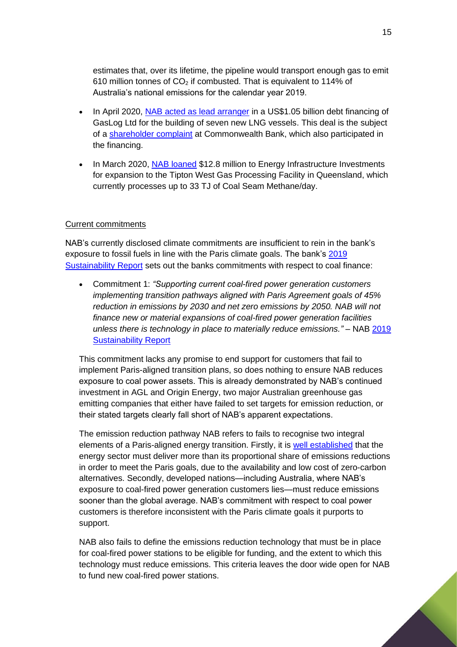estimates that, over its lifetime, the pipeline would transport enough gas to emit 610 million tonnes of  $CO<sub>2</sub>$  if combusted. That is equivalent to 114% of Australia's national emissions for the calendar year 2019.

- In April 2020, [NAB acted as lead arranger](https://www.gaslogltd.com/gaslog-ltd-announces-newbuild-financing-facility-enhancements-to-existing-facilities-and-payment-of-special-dividend-of-0-38-per-common-share/) in a US\$1.05 billion debt financing of GasLog Ltd for the building of seven new LNG vessels. This deal is the subject of a [shareholder complaint](https://www.theguardian.com/news/2020/jun/26/commonwealth-bank-activist-shareholders-call-out-company-for-financing-new-gas-projects) at Commonwealth Bank, which also participated in the financing.
- In March 2020, NAB [loaned](https://ijglobal.com/data/transaction/51565/tipton-west-gas-processing-facility-expansion) \$12.8 million to Energy Infrastructure Investments for expansion to the Tipton West Gas Processing Facility in Queensland, which currently processes up to 33 TJ of Coal Seam Methane/day.

#### Current commitments

NAB's currently disclosed climate commitments are insufficient to rein in the bank's exposure to fossil fuels in line with the Paris climate goals. The bank's 2019 [Sustainability Report](https://www.nab.com.au/content/dam/nabrwd/documents/reports/corporate/2019-sustainability-report-pdf.pdf) sets out the banks commitments with respect to coal finance:

• Commitment 1: *"Supporting current coal-fired power generation customers implementing transition pathways aligned with Paris Agreement goals of 45% reduction in emissions by 2030 and net zero emissions by 2050. NAB will not finance new or material expansions of coal-fired power generation facilities unless there is technology in place to materially reduce emissions."* – NAB [2019](https://www.nab.com.au/content/dam/nabrwd/documents/reports/corporate/2019-sustainability-report-pdf.pdf)  [Sustainability Report](https://www.nab.com.au/content/dam/nabrwd/documents/reports/corporate/2019-sustainability-report-pdf.pdf)

This commitment lacks any promise to end support for customers that fail to implement Paris-aligned transition plans, so does nothing to ensure NAB reduces exposure to coal power assets. This is already demonstrated by NAB's continued investment in AGL and Origin Energy, two major Australian greenhouse gas emitting companies that either have failed to set targets for emission reduction, or their stated targets clearly fall short of NAB's apparent expectations.

The emission reduction pathway NAB refers to fails to recognise two integral elements of a Paris-aligned energy transition. Firstly, it is [well established](https://www.ipcc.ch/site/assets/uploads/2018/02/ipcc_wg3_ar5_chapter7.pdf) that the energy sector must deliver more than its proportional share of emissions reductions in order to meet the Paris goals, due to the availability and low cost of zero-carbon alternatives. Secondly, developed nations—including Australia, where NAB's exposure to coal-fired power generation customers lies—must reduce emissions sooner than the global average. NAB's commitment with respect to coal power customers is therefore inconsistent with the Paris climate goals it purports to support.

NAB also fails to define the emissions reduction technology that must be in place for coal-fired power stations to be eligible for funding, and the extent to which this technology must reduce emissions. This criteria leaves the door wide open for NAB to fund new coal-fired power stations.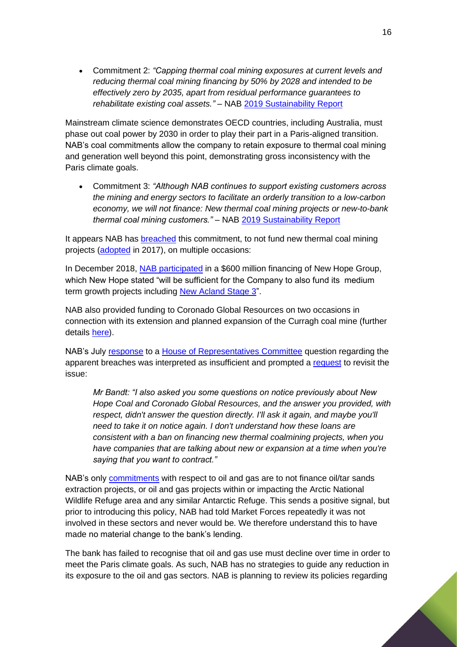• Commitment 2: *"Capping thermal coal mining exposures at current levels and reducing thermal coal mining financing by 50% by 2028 and intended to be effectively zero by 2035, apart from residual performance guarantees to rehabilitate existing coal assets."* – NAB [2019 Sustainability Report](https://www.nab.com.au/content/dam/nabrwd/documents/reports/corporate/2019-sustainability-report-pdf.pdf)

Mainstream climate science demonstrates OECD countries, including Australia, must phase out coal power by 2030 in order to play their part in a Paris-aligned transition. NAB's coal commitments allow the company to retain exposure to thermal coal mining and generation well beyond this point, demonstrating gross inconsistency with the Paris climate goals.

• Commitment 3: *"Although NAB continues to support existing customers across the mining and energy sectors to facilitate an orderly transition to a low-carbon economy, we will not finance: New thermal coal mining projects or new-to-bank thermal coal mining customers."* – NAB [2019 Sustainability Report](https://www.nab.com.au/content/dam/nabrwd/documents/reports/corporate/2019-sustainability-report-pdf.pdf)

It appears NAB has [breached](https://www.marketforces.org.au/campaigns/banks-new/bigfourscorecard/) this commitment, to not fund new thermal coal mining projects [\(adopted](https://news.nab.com.au/update-on-financing-of-new-thermal-coal-mining-projects/) in 2017), on multiple occasions:

In December 2018, [NAB participated](https://www.newhopegroup.com.au/files/files/20181126%20-%20ASX%20Release%20-%20Bengalla%20acquisition%20and%20funding%20update.pdf) in a \$600 million financing of New Hope Group, which New Hope stated "will be sufficient for the Company to also fund its medium term growth projects including [New Acland Stage 3"](http://statedevelopment.qld.gov.au/coordinator-general/assessments-and-approvals/coordinated-projects/completed-projects/new-acland-coal-mine-stage-3-project.html).

NAB also provided funding to Coronado Global Resources on two occasions in connection with its extension and planned expansion of the Curragh coal mine (further details [here\)](https://www.marketforces.org.au/campaigns/banks-new/bigfourscorecard/).

NAB's July [response](https://www.aph.gov.au/-/media/02_Parliamentary_Business/24_Committees/243_Reps_Committees/Economics/46p/Banks_and_Financial_Institutions/1_Bank_Review_-_First_Report/NAB_QoNs/NAB39QW.pdf?la=en&hash=BEB6A995F4BF5EDFE3B8268526354837D252C6EE) to a House [of Representatives Committee](https://www.aph.gov.au/Parliamentary_Business/Committees/House/Economics/FourMajorBanks/Documents) question regarding the apparent breaches was interpreted as insufficient and prompted a [request](https://parlinfo.aph.gov.au/parlInfo/download/committees/commrep/0d8a7647-0a35-441c-8d13-e7b56b04bfa5/toc_pdf/Standing%20Committee%20on%20Economics_2020_09_11_8089.pdf;fileType=application%2Fpdf#search=%22committees/commrep/0d8a7647-0a35-441c-8d13-e7b56b04bfa5/0000%22) to revisit the issue:

*Mr Bandt: "I also asked you some questions on notice previously about New Hope Coal and Coronado Global Resources, and the answer you provided, with respect, didn't answer the question directly. I'll ask it again, and maybe you'll need to take it on notice again. I don't understand how these loans are consistent with a ban on financing new thermal coalmining projects, when you have companies that are talking about new or expansion at a time when you're saying that you want to contract."*

NAB's only [commitments](https://www.nab.com.au/content/dam/nabrwd/documents/reports/corporate/2019-sustainability-report-pdf.pdf) with respect to oil and gas are to not finance oil/tar sands extraction projects, or oil and gas projects within or impacting the Arctic National Wildlife Refuge area and any similar Antarctic Refuge. This sends a positive signal, but prior to introducing this policy, NAB had told Market Forces repeatedly it was not involved in these sectors and never would be. We therefore understand this to have made no material change to the bank's lending.

The bank has failed to recognise that oil and gas use must decline over time in order to meet the Paris climate goals. As such, NAB has no strategies to guide any reduction in its exposure to the oil and gas sectors. NAB is planning to review its policies regarding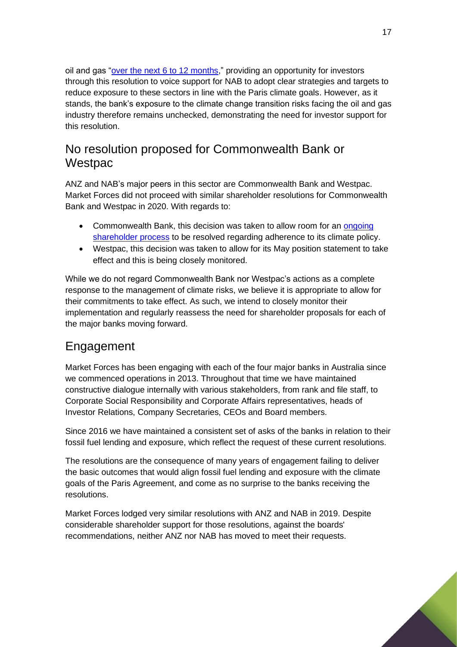oil and gas ["over the next 6 to 12 months,](https://www.marketforces.org.au/nab-to-review-oil-gas-policy-after-competitors-commit-to-tighten-lending-to-the-sector/)" providing an opportunity for investors through this resolution to voice support for NAB to adopt clear strategies and targets to reduce exposure to these sectors in line with the Paris climate goals. However, as it stands, the bank's exposure to the climate change transition risks facing the oil and gas industry therefore remains unchecked, demonstrating the need for investor support for this resolution.

## <span id="page-16-0"></span>No resolution proposed for Commonwealth Bank or **Westpac**

ANZ and NAB's major peers in this sector are Commonwealth Bank and Westpac. Market Forces did not proceed with similar shareholder resolutions for Commonwealth Bank and Westpac in 2020. With regards to:

- Commonwealth Bank, this decision was taken to allow room for an ongoing [shareholder process](https://www.theguardian.com/news/2020/jun/26/commonwealth-bank-activist-shareholders-call-out-company-for-financing-new-gas-projects) to be resolved regarding adherence to its climate policy.
- Westpac, this decision was taken to allow for its May position statement to take effect and this is being closely monitored.

While we do not regard Commonwealth Bank nor Westpac's actions as a complete response to the management of climate risks, we believe it is appropriate to allow for their commitments to take effect. As such, we intend to closely monitor their implementation and regularly reassess the need for shareholder proposals for each of the major banks moving forward.

# <span id="page-16-1"></span>Engagement

Market Forces has been engaging with each of the four major banks in Australia since we commenced operations in 2013. Throughout that time we have maintained constructive dialogue internally with various stakeholders, from rank and file staff, to Corporate Social Responsibility and Corporate Affairs representatives, heads of Investor Relations, Company Secretaries, CEOs and Board members.

Since 2016 we have maintained a consistent set of asks of the banks in relation to their fossil fuel lending and exposure, which reflect the request of these current resolutions.

The resolutions are the consequence of many years of engagement failing to deliver the basic outcomes that would align fossil fuel lending and exposure with the climate goals of the Paris Agreement, and come as no surprise to the banks receiving the resolutions.

Market Forces lodged very similar resolutions with ANZ and NAB in 2019. Despite considerable shareholder support for those resolutions, against the boards' recommendations, neither ANZ nor NAB has moved to meet their requests.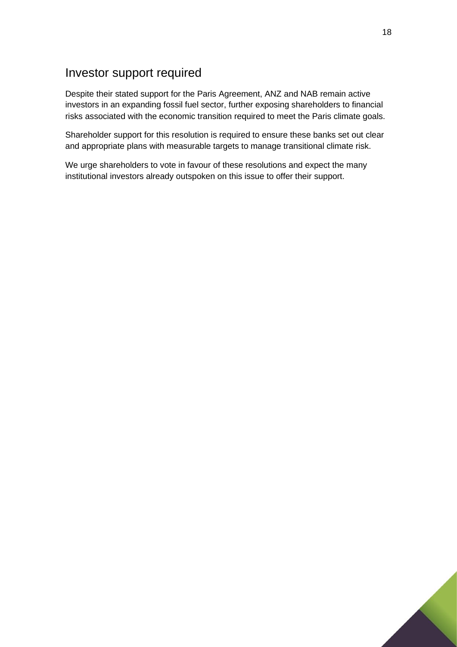## <span id="page-17-0"></span>Investor support required

Despite their stated support for the Paris Agreement, ANZ and NAB remain active investors in an expanding fossil fuel sector, further exposing shareholders to financial risks associated with the economic transition required to meet the Paris climate goals.

Shareholder support for this resolution is required to ensure these banks set out clear and appropriate plans with measurable targets to manage transitional climate risk.

We urge shareholders to vote in favour of these resolutions and expect the many institutional investors already outspoken on this issue to offer their support.

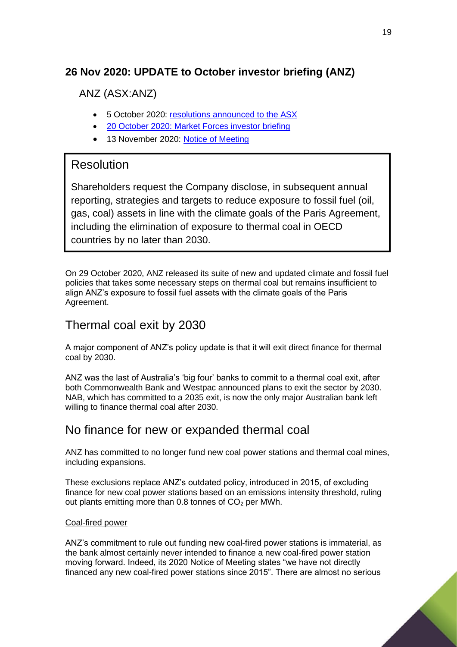## <span id="page-18-0"></span>**26 Nov 2020: UPDATE to October investor briefing (ANZ)**

ANZ (ASX:ANZ)

- 5 October 2020: [resolutions announced to the ASX](https://www.asx.com.au/asxpdf/20201005/pdf/44nc94s81hr1c5.pdf)
- 20 October 2020: [Market Forces investor briefing](https://www.marketforces.org.au/wp-content/uploads/2020/10/2020-10-Market-Forces-ANZ-NAB-Investor-Briefing-1.pdf)
- 13 November 2020: [Notice of Meeting](https://cdn-api.markitdigital.com/apiman-gateway/ASX/asx-research/1.0/file/2924-02308546-3A555340?access_token=83ff96335c2d45a094df02a206a39ff4)

## Resolution

Shareholders request the Company disclose, in subsequent annual reporting, strategies and targets to reduce exposure to fossil fuel (oil, gas, coal) assets in line with the climate goals of the Paris Agreement, including the elimination of exposure to thermal coal in OECD countries by no later than 2030.

On 29 October 2020, ANZ released its suite of new and updated climate and fossil fuel policies that takes some necessary steps on thermal coal but remains insufficient to align ANZ's exposure to fossil fuel assets with the climate goals of the Paris Agreement.

## Thermal coal exit by 2030

A major component of ANZ's policy update is that it will exit direct finance for thermal coal by 2030.

ANZ was the last of Australia's 'big four' banks to commit to a thermal coal exit, after both Commonwealth Bank and Westpac announced plans to exit the sector by 2030. NAB, which has committed to a 2035 exit, is now the only major Australian bank left willing to finance thermal coal after 2030.

## No finance for new or expanded thermal coal

ANZ has committed to no longer fund new coal power stations and thermal coal mines, including expansions.

These exclusions replace ANZ's outdated policy, introduced in 2015, of excluding finance for new coal power stations based on an emissions intensity threshold, ruling out plants emitting more than 0.8 tonnes of  $CO<sub>2</sub>$  per MWh.

#### Coal-fired power

ANZ's commitment to rule out funding new coal-fired power stations is immaterial, as the bank almost certainly never intended to finance a new coal-fired power station moving forward. Indeed, its 2020 Notice of Meeting states "we have not directly financed any new coal-fired power stations since 2015". There are almost no serious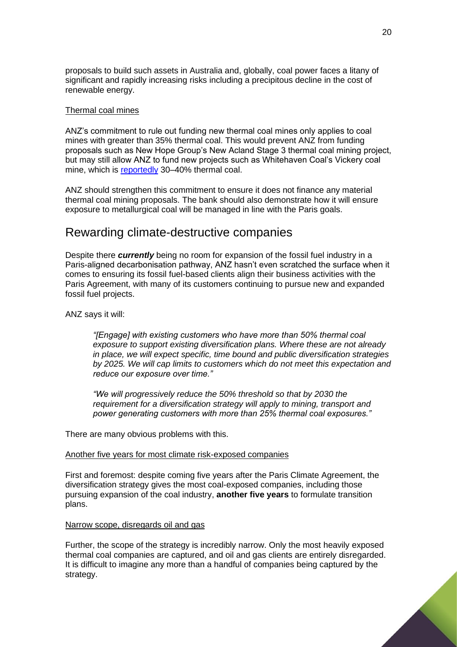proposals to build such assets in Australia and, globally, coal power faces a litany of significant and rapidly increasing risks including a precipitous decline in the cost of renewable energy.

#### Thermal coal mines

ANZ's commitment to rule out funding new thermal coal mines only applies to coal mines with greater than 35% thermal coal. This would prevent ANZ from funding proposals such as New Hope Group's New Acland Stage 3 thermal coal mining project, but may still allow ANZ to fund new projects such as Whitehaven Coal's Vickery coal mine, which is [reportedly](https://www.theguardian.com/australia-news/2020/aug/12/whitehaven-vickery-mine-expansion-to-extract-250-more-coal-approved-by-nsw) 30–40% thermal coal.

ANZ should strengthen this commitment to ensure it does not finance any material thermal coal mining proposals. The bank should also demonstrate how it will ensure exposure to metallurgical coal will be managed in line with the Paris goals.

#### Rewarding climate-destructive companies

Despite there *currently* being no room for expansion of the fossil fuel industry in a Paris-aligned decarbonisation pathway, ANZ hasn't even scratched the surface when it comes to ensuring its fossil fuel-based clients align their business activities with the Paris Agreement, with many of its customers continuing to pursue new and expanded fossil fuel projects.

#### ANZ says it will:

*"[Engage] with existing customers who have more than 50% thermal coal exposure to support existing diversification plans. Where these are not already in place, we will expect specific, time bound and public diversification strategies by 2025. We will cap limits to customers which do not meet this expectation and reduce our exposure over time."*

*"We will progressively reduce the 50% threshold so that by 2030 the requirement for a diversification strategy will apply to mining, transport and power generating customers with more than 25% thermal coal exposures."*

There are many obvious problems with this.

#### Another five years for most climate risk-exposed companies

First and foremost: despite coming five years after the Paris Climate Agreement, the diversification strategy gives the most coal-exposed companies, including those pursuing expansion of the coal industry, **another five years** to formulate transition plans.

#### Narrow scope, disregards oil and gas

Further, the scope of the strategy is incredibly narrow. Only the most heavily exposed thermal coal companies are captured, and oil and gas clients are entirely disregarded. It is difficult to imagine any more than a handful of companies being captured by the strategy.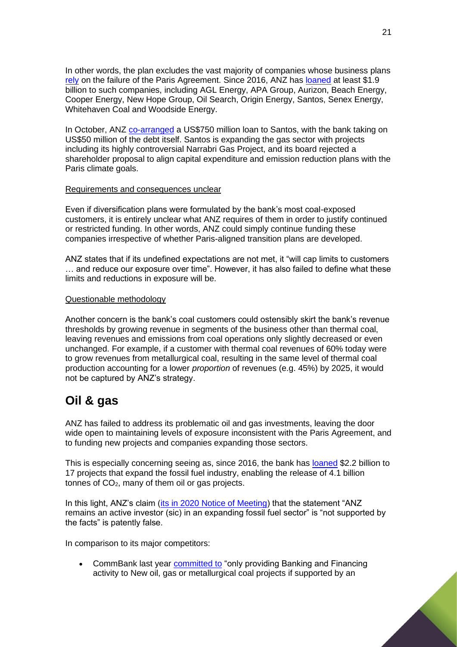In other words, the plan excludes the vast majority of companies whose business plans [rely](https://www.marketforces.org.au/campaigns/super/outofline/) on the failure of the Paris Agreement. Since 2016, ANZ has [loaned](https://marketforces.org.au/bigfourscorecard) at least \$1.9 billion to such companies, including AGL Energy, APA Group, Aurizon, Beach Energy, Cooper Energy, New Hope Group, Oil Search, Origin Energy, Santos, Senex Energy, Whitehaven Coal and Woodside Energy.

In October, ANZ [co-arranged](https://www.ifre.com/story/2588133/santos-lifts-bridge-takeout-to-us750m-l4n2he1zj) a US\$750 million loan to Santos, with the bank taking on US\$50 million of the debt itself. Santos is expanding the gas sector with projects including its highly controversial Narrabri Gas Project, and its board rejected a shareholder proposal to align capital expenditure and emission reduction plans with the Paris climate goals.

#### Requirements and consequences unclear

Even if diversification plans were formulated by the bank's most coal-exposed customers, it is entirely unclear what ANZ requires of them in order to justify continued or restricted funding. In other words, ANZ could simply continue funding these companies irrespective of whether Paris-aligned transition plans are developed.

ANZ states that if its undefined expectations are not met, it "will cap limits to customers … and reduce our exposure over time". However, it has also failed to define what these limits and reductions in exposure will be.

#### Questionable methodology

Another concern is the bank's coal customers could ostensibly skirt the bank's revenue thresholds by growing revenue in segments of the business other than thermal coal, leaving revenues and emissions from coal operations only slightly decreased or even unchanged. For example, if a customer with thermal coal revenues of 60% today were to grow revenues from metallurgical coal, resulting in the same level of thermal coal production accounting for a lower *proportion* of revenues (e.g. 45%) by 2025, it would not be captured by ANZ's strategy.

# **Oil & gas**

ANZ has failed to address its problematic oil and gas investments, leaving the door wide open to maintaining levels of exposure inconsistent with the Paris Agreement, and to funding new projects and companies expanding those sectors.

This is especially concerning seeing as, since 2016, the bank has [loaned](https://marketforces.org.au/bigfourscorecard) \$2.2 billion to 17 projects that expand the fossil fuel industry, enabling the release of 4.1 billion tonnes of  $CO<sub>2</sub>$ , many of them oil or gas projects.

In this light, ANZ's claim [\(its in 2020 Notice of Meeting\)](https://www.anz.com/content/dam/anzcom/shareholder/ANZ-2020-Notice-of-Meeting.pdf) that the statement "ANZ remains an active investor (sic) in an expanding fossil fuel sector" is "not supported by the facts" is patently false.

In comparison to its major competitors:

• CommBank last year [committed to](https://www.commbank.com.au/content/dam/commbank/about-us/download-printed-forms/environment-and-social-framework.pdf) "only providing Banking and Financing activity to New oil, gas or metallurgical coal projects if supported by an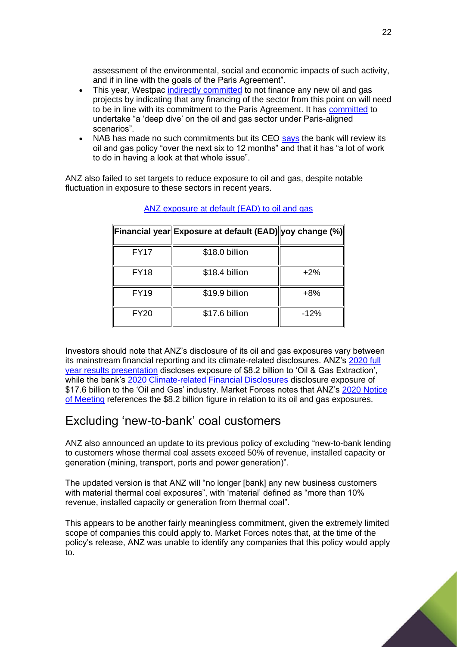assessment of the environmental, social and economic impacts of such activity, and if in line with the goals of the Paris Agreement".

- This year, Westpac [indirectly committed](https://www.marketforces.org.au/westpac-sets-thermal-coal-exit-date-re-commits-to-paris-alignment/) to not finance any new oil and gas projects by indicating that any financing of the sector from this point on will need to be in line with its commitment to the Paris Agreement. It has [committed](https://www.westpac.com.au/content/dam/public/wbc/documents/pdf/aw/sustainability/WBC_2020_sustainability_performance_report.pdf) to undertake "a 'deep dive' on the oil and gas sector under Paris-aligned scenarios".
- NAB has made no such commitments but its CEO [says](https://parlinfo.aph.gov.au/parlInfo/download/committees/commrep/0d8a7647-0a35-441c-8d13-e7b56b04bfa5/toc_pdf/Standing%20Committee%20on%20Economics_2020_09_11_8089.pdf;fileType=application%2Fpdf#search=%22committees/commrep/0d8a7647-0a35-441c-8d13-e7b56b04bfa5/0000%22) the bank will review its oil and gas policy "over the next six to 12 months" and that it has "a lot of work to do in having a look at that whole issue".

ANZ also failed to set targets to reduce exposure to oil and gas, despite notable fluctuation in exposure to these sectors in recent years.

|             | Financial year Exposure at default (EAD) yoy change (%) |        |
|-------------|---------------------------------------------------------|--------|
| <b>FY17</b> | \$18.0 billion                                          |        |
| <b>FY18</b> | \$18.4 billion                                          | $+2%$  |
| <b>FY19</b> | \$19.9 billion                                          | $+8%$  |
| <b>FY20</b> | \$17.6 billion                                          | $-12%$ |

#### [ANZ exposure at default \(EAD\) to oil and gas](https://www.anz.com.au/content/dam/anzcom/shareholder/ANZ-2020-Climate-related-Financial-Disclosures.pdf)

Investors should note that ANZ's disclosure of its oil and gas exposures vary between its mainstream financial reporting and its climate-related disclosures. ANZ's [2020 full](https://cdn-api.markitdigital.com/apiman-gateway/ASX/asx-research/1.0/file/2924-02300807-3A553970?access_token=83ff96335c2d45a094df02a206a39ff4)  [year results presentation](https://cdn-api.markitdigital.com/apiman-gateway/ASX/asx-research/1.0/file/2924-02300807-3A553970?access_token=83ff96335c2d45a094df02a206a39ff4) discloses exposure of \$8.2 billion to 'Oil & Gas Extraction', while the bank's [2020 Climate-related Financial Disclosures](https://cdn-api.markitdigital.com/apiman-gateway/ASX/asx-research/1.0/file/2924-02306345-3A554991?access_token=83ff96335c2d45a094df02a206a39ff4) disclosure exposure of \$17.6 billion to the 'Oil and Gas' industry. Market Forces notes that ANZ's 2020 Notice [of Meeting](https://www.anz.com/content/dam/anzcom/shareholder/ANZ-2020-Notice-of-Meeting.pdf) references the \$8.2 billion figure in relation to its oil and gas exposures.

#### Excluding 'new-to-bank' coal customers

ANZ also announced an update to its previous policy of excluding "new-to-bank lending to customers whose thermal coal assets exceed 50% of revenue, installed capacity or generation (mining, transport, ports and power generation)".

The updated version is that ANZ will "no longer [bank] any new business customers with material thermal coal exposures", with 'material' defined as "more than 10% revenue, installed capacity or generation from thermal coal".

This appears to be another fairly meaningless commitment, given the extremely limited scope of companies this could apply to. Market Forces notes that, at the time of the policy's release, ANZ was unable to identify any companies that this policy would apply to.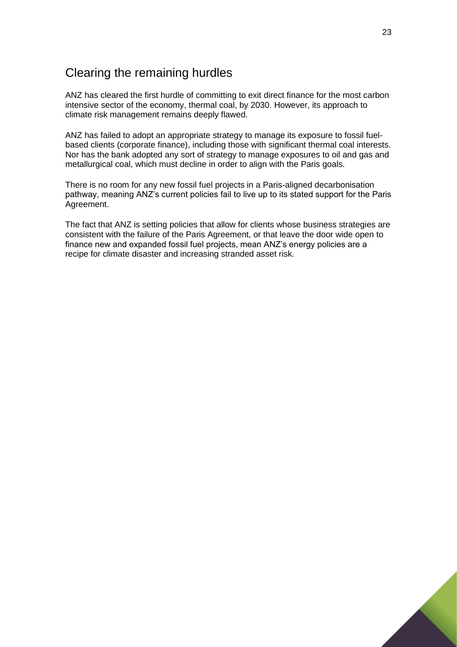## Clearing the remaining hurdles

ANZ has cleared the first hurdle of committing to exit direct finance for the most carbon intensive sector of the economy, thermal coal, by 2030. However, its approach to climate risk management remains deeply flawed.

ANZ has failed to adopt an appropriate strategy to manage its exposure to fossil fuelbased clients (corporate finance), including those with significant thermal coal interests. Nor has the bank adopted any sort of strategy to manage exposures to oil and gas and metallurgical coal, which must decline in order to align with the Paris goals.

There is no room for any new fossil fuel projects in a Paris-aligned decarbonisation pathway, meaning ANZ's current policies fail to live up to its stated support for the Paris Agreement.

The fact that ANZ is setting policies that allow for clients whose business strategies are consistent with the failure of the Paris Agreement, or that leave the door wide open to finance new and expanded fossil fuel projects, mean ANZ's energy policies are a recipe for climate disaster and increasing stranded asset risk.

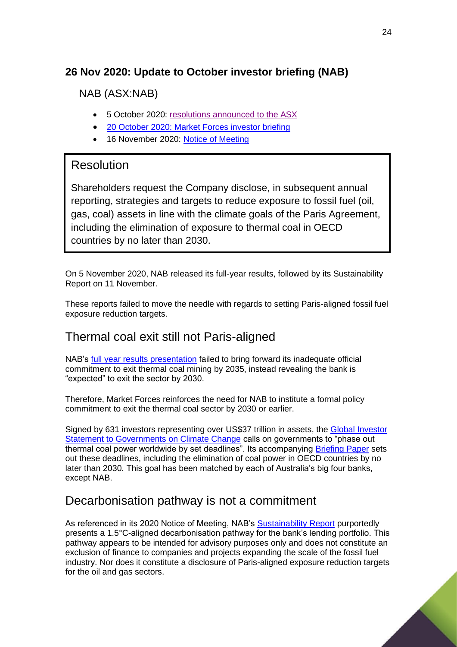## <span id="page-23-0"></span>**26 Nov 2020: Update to October investor briefing (NAB)**

NAB (ASX:NAB)

- 5 October 2020: [resolutions announced to the ASX](https://www.asx.com.au/asxpdf/20201005/pdf/44nbyh9pph3xg0.pdf)
- 20 October 2020: [Market Forces investor briefing](https://www.marketforces.org.au/wp-content/uploads/2020/10/2020-10-Market-Forces-ANZ-NAB-Investor-Briefing-1.pdf)
- 16 November 2020: [Notice of Meeting](https://cdn-api.markitdigital.com/apiman-gateway/ASX/asx-research/1.0/file/2924-02309109-3A555466?access_token=83ff96335c2d45a094df02a206a39ff4)

## Resolution

Shareholders request the Company disclose, in subsequent annual reporting, strategies and targets to reduce exposure to fossil fuel (oil, gas, coal) assets in line with the climate goals of the Paris Agreement, including the elimination of exposure to thermal coal in OECD countries by no later than 2030.

On 5 November 2020, NAB released its full-year results, followed by its Sustainability Report on 11 November.

These reports failed to move the needle with regards to setting Paris-aligned fossil fuel exposure reduction targets.

## Thermal coal exit still not Paris-aligned

NAB's [full year results presentation](https://cdn-api.markitdigital.com/apiman-gateway/ASX/asx-research/1.0/file/2924-02304887-3A554691?access_token=83ff96335c2d45a094df02a206a39ff4) failed to bring forward its inadequate official commitment to exit thermal coal mining by 2035, instead revealing the bank is "expected" to exit the sector by 2030.

Therefore, Market Forces reinforces the need for NAB to institute a formal policy commitment to exit the thermal coal sector by 2030 or earlier.

Signed by 631 investors representing over US\$37 trillion in assets, the [Global Investor](https://theinvestoragenda.org/focus-areas/policy-advocacy/)  [Statement to Governments on Climate Change](https://theinvestoragenda.org/focus-areas/policy-advocacy/) calls on governments to "phase out thermal coal power worldwide by set deadlines". Its accompanying [Briefing Paper](https://theinvestoragenda.org/wp-content/uploads/2019/06/GISGCC-briefing-paper-FINAL.pdf) sets out these deadlines, including the elimination of coal power in OECD countries by no later than 2030. This goal has been matched by each of Australia's big four banks, except NAB.

## Decarbonisation pathway is not a commitment

As referenced in its 2020 Notice of Meeting, NAB's [Sustainability Report](https://www.nab.com.au/content/dam/nabrwd/documents/reports/corporate/2020-sustainability-report-pdf.pdf) purportedly presents a 1.5°C-aligned decarbonisation pathway for the bank's lending portfolio. This pathway appears to be intended for advisory purposes only and does not constitute an exclusion of finance to companies and projects expanding the scale of the fossil fuel industry. Nor does it constitute a disclosure of Paris-aligned exposure reduction targets for the oil and gas sectors.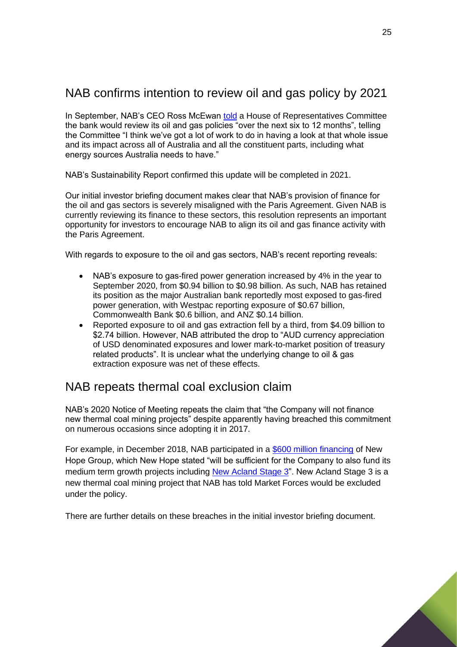# NAB confirms intention to review oil and gas policy by 2021

In September, NAB's CEO Ross McEwan [told](https://parlinfo.aph.gov.au/parlInfo/download/committees/commrep/0d8a7647-0a35-441c-8d13-e7b56b04bfa5/toc_pdf/Standing%20Committee%20on%20Economics_2020_09_11_8089.pdf;fileType=application%2Fpdf#search=%22committees/commrep/0d8a7647-0a35-441c-8d13-e7b56b04bfa5/0000%22) a House of Representatives Committee the bank would review its oil and gas policies "over the next six to 12 months", telling the Committee "I think we've got a lot of work to do in having a look at that whole issue and its impact across all of Australia and all the constituent parts, including what energy sources Australia needs to have."

NAB's Sustainability Report confirmed this update will be completed in 2021.

Our initial investor briefing document makes clear that NAB's provision of finance for the oil and gas sectors is severely misaligned with the Paris Agreement. Given NAB is currently reviewing its finance to these sectors, this resolution represents an important opportunity for investors to encourage NAB to align its oil and gas finance activity with the Paris Agreement.

With regards to exposure to the oil and gas sectors, NAB's recent reporting reveals:

- NAB's exposure to gas-fired power generation increased by 4% in the year to September 2020, from \$0.94 billion to \$0.98 billion. As such, NAB has retained its position as the major Australian bank reportedly most exposed to gas-fired power generation, with Westpac reporting exposure of \$0.67 billion, Commonwealth Bank \$0.6 billion, and ANZ \$0.14 billion.
- Reported exposure to oil and gas extraction fell by a third, from \$4.09 billion to \$2.74 billion. However, NAB attributed the drop to "AUD currency appreciation of USD denominated exposures and lower mark-to-market position of treasury related products". It is unclear what the underlying change to oil & gas extraction exposure was net of these effects.

#### NAB repeats thermal coal exclusion claim

NAB's 2020 Notice of Meeting repeats the claim that "the Company will not finance new thermal coal mining projects" despite apparently having breached this commitment on numerous occasions since adopting it in 2017.

For example, in December 2018, NAB participated in a [\\$600 million financing](https://www.newhopegroup.com.au/files/files/20181126%20-%20ASX%20Release%20-%20Bengalla%20acquisition%20and%20funding%20update.pdf) of New Hope Group, which New Hope stated "will be sufficient for the Company to also fund its medium term growth projects including [New Acland Stage 3"](http://statedevelopment.qld.gov.au/coordinator-general/assessments-and-approvals/coordinated-projects/completed-projects/new-acland-coal-mine-stage-3-project.html). New Acland Stage 3 is a new thermal coal mining project that NAB has told Market Forces would be excluded under the policy.

There are further details on these breaches in the initial investor briefing document.